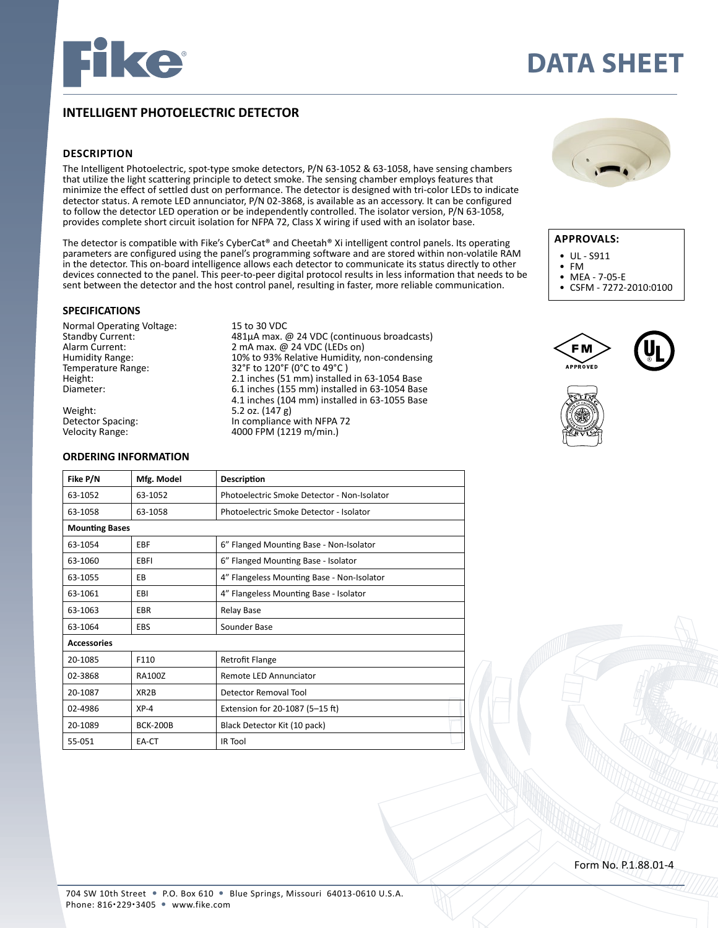

# **DATA SHEET**

# **INTELLIGENT PHOTOELECTRIC DETECTOR**

## **DESCRIPTION**

The Intelligent Photoelectric, spot-type smoke detectors, P/N 63-1052 & 63-1058, have sensing chambers that utilize the light scattering principle to detect smoke. The sensing chamber employs features that minimize the effect of settled dust on performance. The detector is designed with tri-color LEDs to indicate detector status. A remote LED annunciator, P/N 02-3868, is available as an accessory. It can be configured to follow the detector LED operation or be independently controlled. The isolator version, P/N 63-1058, provides complete short circuit isolation for NFPA 72, Class X wiring if used with an isolator base.

The detector is compatible with Fike's CyberCat® and Cheetah® Xi intelligent control panels. Its operating parameters are configured using the panel's programming software and are stored within non-volatile RAM in the detector. This on-board intelligence allows each detector to communicate its status directly to other devices connected to the panel. This peer-to-peer digital protocol results in less information that needs to be sent between the detector and the host control panel, resulting in faster, more reliable communication.

# **SPECIFICATIONS**

Normal Operating Voltage: 15 to 30 VDC<br>Standby Current: 481µA max. 6

Weight: 5.2 oz. (147 g)<br>Detector Spacing: The Spacing Herbert of the Compliance

#### **ORDERING INFORMATION**

**Fike P/N Mfg. Model Description**

Standby Current:  $\begin{array}{cc}\n & 481 \mu \text{A max.} \text{ @ } 24 \text{ VDC (continuous broadcast)} \\
 & 2 \text{ mA max.} \text{ @ } 24 \text{ VDC (LEDs on)}\n\end{array}$ Alarm Current: 2 mA max. @ 24 VDC (LEDs on)<br>
Humidity Range: 20% to 93% Relative Humidity, i Humidity Range: 10% to 93% Relative Humidity, non-condensing<br>Temperature Range: 32°F to 120°F (0°C to 49°C) Temperature Range: 32°F to 120°F (0°C to 49°C)<br>Height: 2.1 inches (51 mm) installed Height: 2.1 inches (51 mm) installed in 63-1054 Base  $6.1$  inches (155 mm) installed in  $63-1054$  Base  $4.1$  inches  $(104 \text{ mm})$  installed in 63-1055 Base<br>Weight:  $5.2$  oz.  $(147 \text{ g})$ Detector Spacing: The Compliance with NFPA 72<br>
Velocity Range: The Compliance with NFPA 72 4000 FPM (1219 m/min.)



## **APPROVALS:**

- UL S911
- FM
- MEA 7-05-E<br>• CSEM 7272-
- CSFM 7272-2010:0100







| 63-1052               | 63-1052           | Photoelectric Smoke Detector - Non-Isolator |  |
|-----------------------|-------------------|---------------------------------------------|--|
| 63-1058               | 63-1058           | Photoelectric Smoke Detector - Isolator     |  |
| <b>Mounting Bases</b> |                   |                                             |  |
| 63-1054               | EBF               | 6" Flanged Mounting Base - Non-Isolator     |  |
| 63-1060               | EBFI              | 6" Flanged Mounting Base - Isolator         |  |
| 63-1055               | EB                | 4" Flangeless Mounting Base - Non-Isolator  |  |
| 63-1061               | EBI               | 4" Flangeless Mounting Base - Isolator      |  |
| 63-1063               | <b>EBR</b>        | <b>Relay Base</b>                           |  |
| 63-1064               | <b>EBS</b>        | Sounder Base                                |  |
| <b>Accessories</b>    |                   |                                             |  |
| 20-1085               | F110              | <b>Retrofit Flange</b>                      |  |
| 02-3868               | <b>RA100Z</b>     | <b>Remote LED Annunciator</b>               |  |
| 20-1087               | XR <sub>2</sub> B | Detector Removal Tool                       |  |
| 02-4986               | $XP-4$            | Extension for 20-1087 (5-15 ft)             |  |
| 20-1089               | <b>BCK-200B</b>   | Black Detector Kit (10 pack)                |  |
| 55-051                | EA-CT             | <b>IR Tool</b>                              |  |